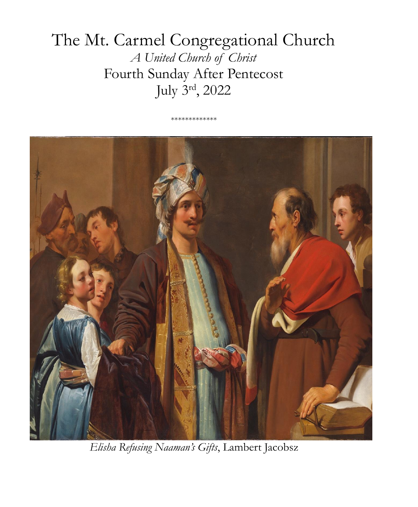# The Mt. Carmel Congregational Church *A United Church of Christ* Fourth Sunday After Pentecost July 3rd, 2022

\*\*\*\*\*\*\*\*\*\*\*\*\*



*Elisha Refusing Naaman's Gifts*, Lambert Jacobsz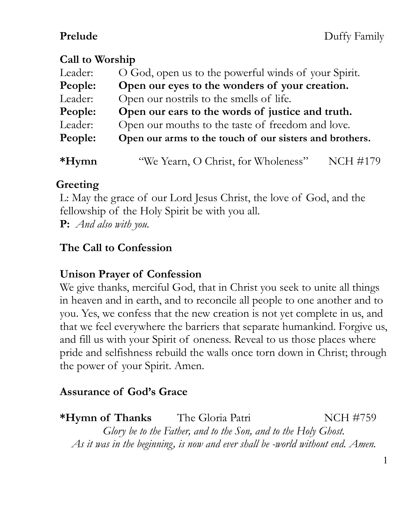### **Call to Worship**

| Leader: | O God, open us to the powerful winds of your Spirit.    |          |  |
|---------|---------------------------------------------------------|----------|--|
| People: | Open our eyes to the wonders of your creation.          |          |  |
| Leader: | Open our nostrils to the smells of life.                |          |  |
| People: | Open our ears to the words of justice and truth.        |          |  |
| Leader: | Open our mouths to the taste of freedom and love.       |          |  |
| People: | Open our arms to the touch of our sisters and brothers. |          |  |
| $*Hymn$ | "We Yearn, O Christ, for Wholeness"                     | NCH #179 |  |
|         |                                                         |          |  |

### **Greeting**

L: May the grace of our Lord Jesus Christ, the love of God, and the fellowship of the Holy Spirit be with you all. **P:** *And also with you.*

### **The Call to Confession**

### **Unison Prayer of Confession**

We give thanks, merciful God, that in Christ you seek to unite all things in heaven and in earth, and to reconcile all people to one another and to you. Yes, we confess that the new creation is not yet complete in us, and that we feel everywhere the barriers that separate humankind. Forgive us, and fill us with your Spirit of oneness. Reveal to us those places where pride and selfishness rebuild the walls once torn down in Christ; through the power of your Spirit. Amen.

### **Assurance of God's Grace**

**\*Hymn of Thanks** The Gloria Patri NCH #759 *Glory be to the Father, and to the Son, and to the Holy Ghost. As it was in the beginning, is now and ever shall be -world without end. Amen.*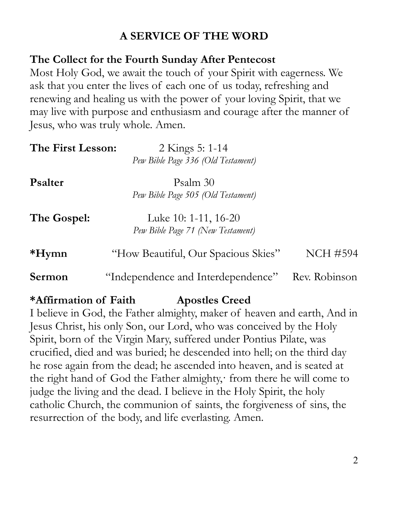### **A SERVICE OF THE WORD**

### **The Collect for the Fourth Sunday After Pentecost**

Most Holy God, we await the touch of your Spirit with eagerness. We ask that you enter the lives of each one of us today, refreshing and renewing and healing us with the power of your loving Spirit, that we may live with purpose and enthusiasm and courage after the manner of Jesus, who was truly whole. Amen.

| The First Lesson: | 2 Kings 5: 1-14                     |               |
|-------------------|-------------------------------------|---------------|
|                   | Pew Bible Page 336 (Old Testament)  |               |
| <b>P</b> salter   | Psalm 30                            |               |
|                   | Pew Bible Page 505 (Old Testament)  |               |
| The Gospel:       | Luke 10: 1-11, 16-20                |               |
|                   | Pew Bible Page 71 (New Testament)   |               |
| $*Hymn$           | "How Beautiful, Our Spacious Skies" | NCH #594      |
| Sermon            | "Independence and Interdependence"  | Rev. Robinson |

### **\*Affirmation of Faith Apostles Creed**

I believe in God, the Father almighty, maker of heaven and earth, And in Jesus Christ, his only Son, our Lord, who was conceived by the Holy Spirit, born of the Virgin Mary, suffered under Pontius Pilate, was crucified, died and was buried; he descended into hell; on the third day he rose again from the dead; he ascended into heaven, and is seated at the right hand of God the Father almighty, from there he will come to judge the living and the dead. I believe in the Holy Spirit, the holy catholic Church, the communion of saints, the forgiveness of sins, the resurrection of the body, and life everlasting. Amen.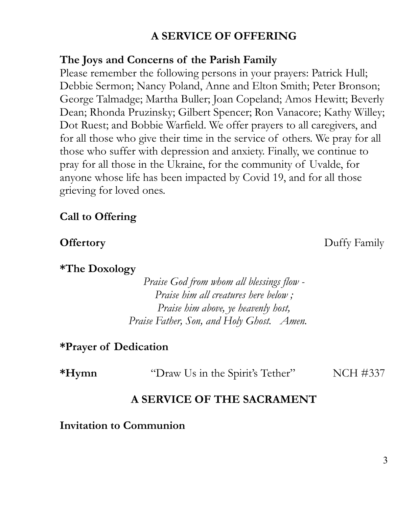### **A SERVICE OF OFFERING**

#### **The Joys and Concerns of the Parish Family**

Please remember the following persons in your prayers: Patrick Hull; Debbie Sermon; Nancy Poland, Anne and Elton Smith; Peter Bronson; George Talmadge; Martha Buller; Joan Copeland; Amos Hewitt; Beverly Dean; Rhonda Pruzinsky; Gilbert Spencer; Ron Vanacore; Kathy Willey; Dot Ruest; and Bobbie Warfield. We offer prayers to all caregivers, and for all those who give their time in the service of others. We pray for all those who suffer with depression and anxiety. Finally, we continue to pray for all those in the Ukraine, for the community of Uvalde, for anyone whose life has been impacted by Covid 19, and for all those grieving for loved ones.

#### **Call to Offering**

**\*The Doxology**

*Praise God from whom all blessings flow - Praise him all creatures here below ; Praise him above, ye heavenly host, Praise Father, Son, and Holy Ghost. Amen.*

#### **\*Prayer of Dedication**

| $*Hvmn$ | "Draw Us in the Spirit's Tether" | NCH #337 |
|---------|----------------------------------|----------|
|---------|----------------------------------|----------|

#### **A SERVICE OF THE SACRAMENT**

#### **Invitation to Communion**

3

**Offertory** Duffy Family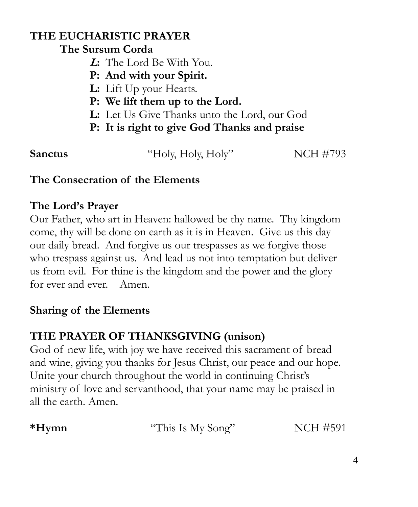### **THE EUCHARISTIC PRAYER**

### **The Sursum Corda**

- **<sup>L</sup>:** The Lord Be With You.
- **P: And with your Spirit.**
- **L:** Lift Up your Hearts.
- **P: We lift them up to the Lord.**
- **L:** Let Us Give Thanks unto the Lord, our God
- **P: It is right to give God Thanks and praise**

**Sanctus** "Holy, Holy, Holy" NCH #793

### **The Consecration of the Elements**

### **The Lord's Prayer**

Our Father, who art in Heaven: hallowed be thy name. Thy kingdom come, thy will be done on earth as it is in Heaven. Give us this day our daily bread. And forgive us our trespasses as we forgive those who trespass against us. And lead us not into temptation but deliver us from evil. For thine is the kingdom and the power and the glory for ever and ever. Amen.

### **Sharing of the Elements**

## **THE PRAYER OF THANKSGIVING (unison)**

God of new life, with joy we have received this sacrament of bread and wine, giving you thanks for Jesus Christ, our peace and our hope. Unite your church throughout the world in continuing Christ's ministry of love and servanthood, that your name may be praised in all the earth. Amen.

| *Hymn | "This Is My Song" | <b>NCH #591</b> |
|-------|-------------------|-----------------|
|       |                   |                 |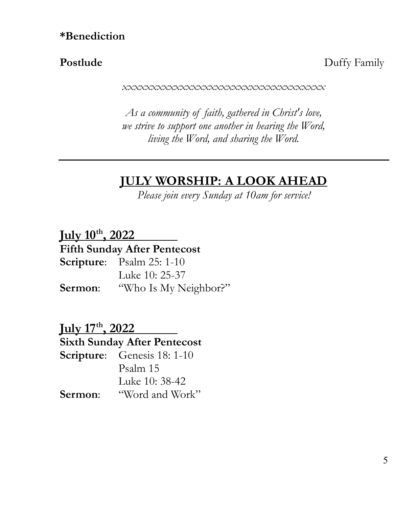**Postlude** Duffy Family

*xxxxxxxxxxxxxxxxxxxxxxxxxxxxxxxxxxx*

*As a community of faith, gathered in Christ's love, we strive to support one another in hearing the Word, living the Word, and sharing the Word.*

### **JULY WORSHIP: A LOOK AHEAD**

*Please join every Sunday at 10am for service!*

**July 10th, 2022 Fifth Sunday After Pentecost Scripture**: Psalm 25: 1-10 Luke 10: 25-37 **Sermon**: "Who Is My Neighbor?"

**July 17th, 2022 Sixth Sunday After Pentecost Scripture**: Genesis 18: 1-10 Psalm 15 Luke 10: 38-42 **Sermon**: "Word and Work"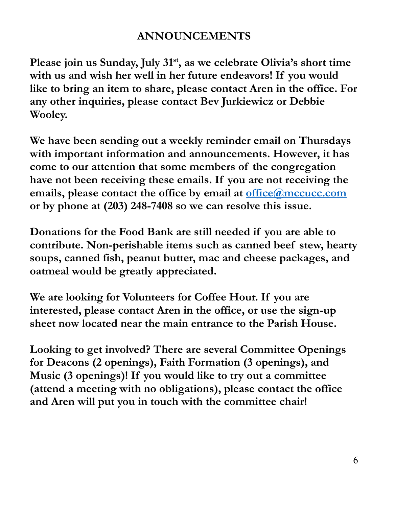### **ANNOUNCEMENTS**

**Please join us Sunday, July 31st, as we celebrate Olivia's short time with us and wish her well in her future endeavors! If you would like to bring an item to share, please contact Aren in the office. For any other inquiries, please contact Bev Jurkiewicz or Debbie Wooley.**

**We have been sending out a weekly reminder email on Thursdays with important information and announcements. However, it has come to our attention that some members of the congregation have not been receiving these emails. If you are not receiving the emails, please contact the office by email at [office@mccucc.com](mailto:office@mccucc.com) or by phone at (203) 248-7408 so we can resolve this issue.** 

**Donations for the Food Bank are still needed if you are able to contribute. Non-perishable items such as canned beef stew, hearty soups, canned fish, peanut butter, mac and cheese packages, and oatmeal would be greatly appreciated.**

**We are looking for Volunteers for Coffee Hour. If you are interested, please contact Aren in the office, or use the sign-up sheet now located near the main entrance to the Parish House.**

**Looking to get involved? There are several Committee Openings for Deacons (2 openings), Faith Formation (3 openings), and Music (3 openings)! If you would like to try out a committee (attend a meeting with no obligations), please contact the office and Aren will put you in touch with the committee chair!**